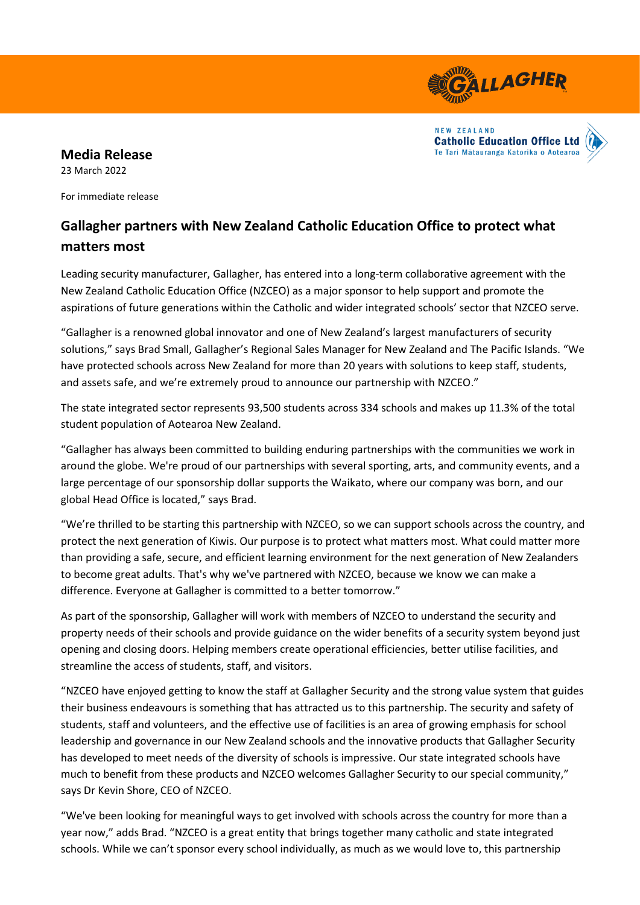

NEW ZEALAND **Catholic Education Office Ltd** Te Tari Mātauranga Katorika o Aotearoa

# **Media Release**

23 March 2022

For immediate release

## **Gallagher partners with New Zealand Catholic Education Office to protect what matters most**

Leading security manufacturer, Gallagher, has entered into a long-term collaborative agreement with the New Zealand Catholic Education Office (NZCEO) as a major sponsor to help support and promote the aspirations of future generations within the Catholic and wider integrated schools' sector that NZCEO serve.

"Gallagher is a renowned global innovator and one of New Zealand's largest manufacturers of security solutions," says Brad Small, Gallagher's Regional Sales Manager for New Zealand and The Pacific Islands. "We have protected schools across New Zealand for more than 20 years with solutions to keep staff, students, and assets safe, and we're extremely proud to announce our partnership with NZCEO."

The state integrated sector represents 93,500 students across 334 schools and makes up 11.3% of the total student population of Aotearoa New Zealand.

"Gallagher has always been committed to building enduring partnerships with the communities we work in around the globe. We're proud of our partnerships with several sporting, arts, and community events, and a large percentage of our sponsorship dollar supports the Waikato, where our company was born, and our global Head Office is located," says Brad.

"We're thrilled to be starting this partnership with NZCEO, so we can support schools across the country, and protect the next generation of Kiwis. Our purpose is to protect what matters most. What could matter more than providing a safe, secure, and efficient learning environment for the next generation of New Zealanders to become great adults. That's why we've partnered with NZCEO, because we know we can make a difference. Everyone at Gallagher is committed to a better tomorrow."

As part of the sponsorship, Gallagher will work with members of NZCEO to understand the security and property needs of their schools and provide guidance on the wider benefits of a security system beyond just opening and closing doors. Helping members create operational efficiencies, better utilise facilities, and streamline the access of students, staff, and visitors.

"NZCEO have enjoyed getting to know the staff at Gallagher Security and the strong value system that guides their business endeavours is something that has attracted us to this partnership. The security and safety of students, staff and volunteers, and the effective use of facilities is an area of growing emphasis for school leadership and governance in our New Zealand schools and the innovative products that Gallagher Security has developed to meet needs of the diversity of schools is impressive. Our state integrated schools have much to benefit from these products and NZCEO welcomes Gallagher Security to our special community," says Dr Kevin Shore, CEO of NZCEO.

"We've been looking for meaningful ways to get involved with schools across the country for more than a year now," adds Brad. "NZCEO is a great entity that brings together many catholic and state integrated schools. While we can't sponsor every school individually, as much as we would love to, this partnership